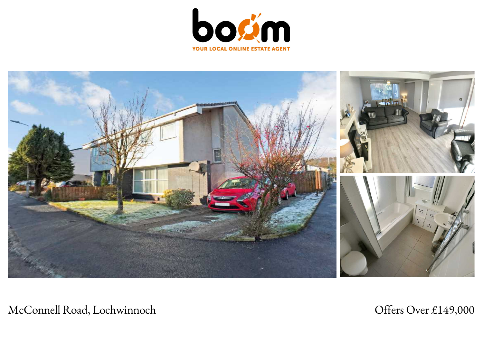



McConnell Road, Lochwinnoch Offers Over £149,000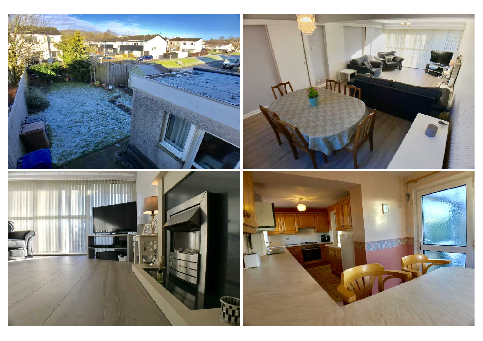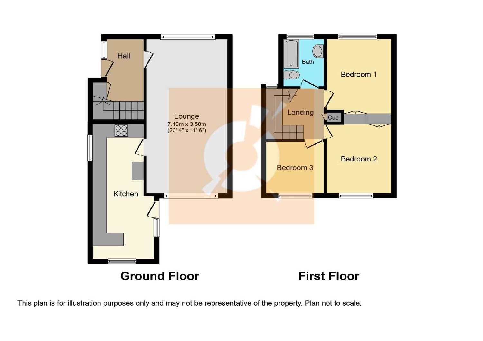

This plan is for illustration purposes only and may not be representative of the property. Plan not to scale.